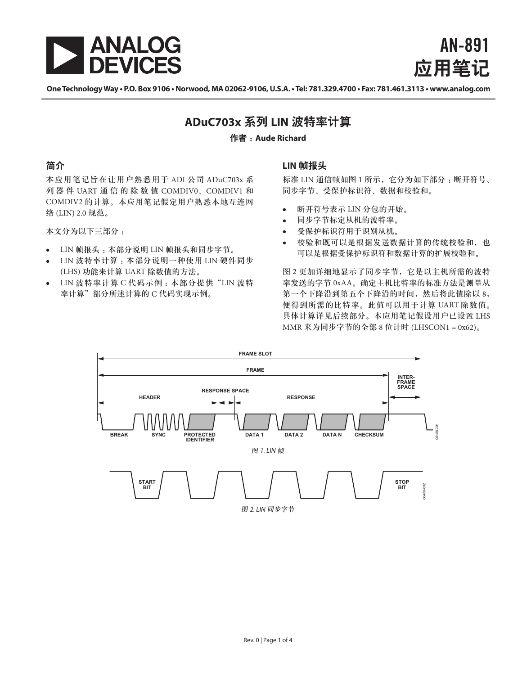

AN-891 应用笔记

**One Technology Way • P.O. Box 9106 • Norwood, MA 02062-9106, U.S.A. • Tel: 781.329.4700 • Fax: 781.461.3113 • www.analog.com**

# **ADuC703x** 系列 **LIN** 波特率计算

#### 作者 :**Aude Richard**

## 简介

本应用笔记旨在让用户熟悉用于 ADI 公司 ADuC703x 系 列 器 件 UART 通 信 的 除 数 值 COMDIV0、COMDIV1 和 COMDIV2 的计算。本应用笔记假定用户熟悉本地互连网 络 (LIN) 2.0 规范。

本文分为以下三部分 :

- LIN 帧报头 :本部分说明 LIN 帧报头和同步字节。
- LIN 波特率计算:本部分说明一种使用 LIN 硬件同步 (LHS) 功能来计算 UART 除数值的方法。
- LIN 波特率计算 C 代码示例 :本部分提供"LIN 波特 率计算"部分所述计算的 C 代码实现示例。

### **LIN** 帧报头

标准 LIN 通信帧如图 1 所示, 它分为如下部分: 断开符号、 同步字节、受保护标识符、数据和校验和。

- 断开符号表示 LIN 分包的开始。
- 同步字节标定从机的波特率。
- 受保护标识符用于识别从机。
- 校验和既可以是根据发送数据计算的传统校验和, 也 可以是根据受保护标识符和数据计算的扩展校验和。

图 2 更加详细地显示了同步字节,它是以主机所需的波特 率发送的字节 0xAA。确定主机比特率的标准方法是测量从 第一个下降沿到第五个下降沿的时间,然后将此值除以 8, 便得到所需的比特率。此值可以用于计算 UART 除数值。 具体计算详见后续部分。本应用笔记假设用户已设置 LHS MMR 来为同步字节的全部 8 位计时 (LHSCON1 = 0x62)。

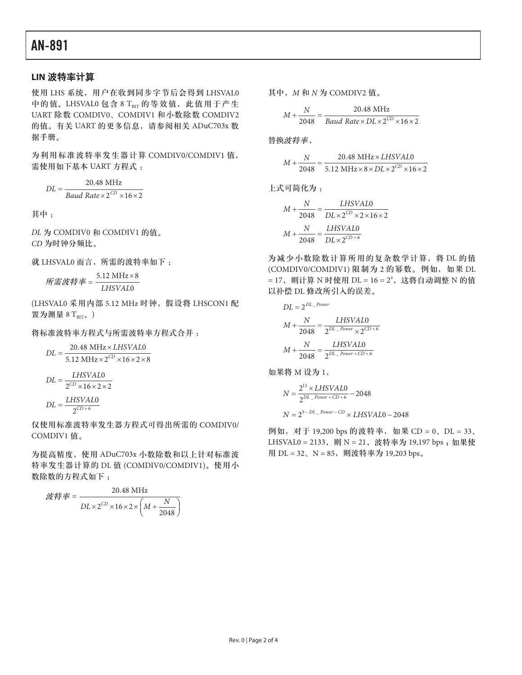#### **LIN** 波特率计算

使用 LHS 系统,用户在收到同步字节后会得到 LHSVAL0 中的值。LHSVAL0 包含 8 TRIT 的等效值, 此值用于产生 UART 除数 COMDIV0、COMDIV1 和小数除数 COMDIV2 的值。有关 UART 的更多信息, 请参阅相关 ADuC703x 数 据手册。

为利用标准波特率发生器计算 COMDIV0/COMDIV1 值, 需使用如下基本 UART 方程式 :

$$
DL = \frac{20.48 \text{ MHz}}{Baud Rate \times 2^{CD} \times 16 \times 2}
$$

其中 :

*DL* 为 COMDIV0 和 COMDIV1 的值。 *CD* 为时钟分频比。

5.12 MHz 8 *Desired Baud Rate* <sup>×</sup> <sup>=</sup> 就 LHSVAL0 而言,所需的波特率如下 :

 $\hat{m}$ 需波特率 =  $\frac{5.12 \text{ MHz} \times 8}{LHSVAL0}$  $5.12 \text{ MHz} \times 8$ *所需波特率* = <sup>5.12</sup> MHz×8<br>*LHSVAL*0  $5.12 \text{ MHz} \times 8$ *LHSVAL Desired Baud Rate* <sup>×</sup> <sup>=</sup> 5.12 MHz 8 所需波特率 =  $\frac{5.12 \text{ MHz} \times 8}{LHSVAL0}}$ 

(LHSVAL0 采用内部 5.12 MHz 时钟, 假设将 LHSCON1 配 置为测量  $8 T_{\text{BIT}_2}$ )

将标准波特率方程式与所需波特率方程式合并 :<br>20.48 MHz×*LHSVAL*0

$$
DL = \frac{20.48 \text{ MHz} \times LHSVAL0}{5.12 \text{ MHz} \times 2^{CD} \times 16 \times 2 \times 8}
$$

$$
DL = \frac{LHSVAL0}{2^{CD} \times 16 \times 2 \times 2}
$$

$$
DL = \frac{LHSVAL0}{2^{CD+6}}
$$

仅使用标准波特率发生器方程式可得出所需的 COMDIV0/ <sup>6</sup> 2 <sup>+</sup> = *CD* COMDIV1 值。 <sub>2</sub><br>理用标准波特率<br>- CD

20.48 MHz 为提高精度,使用 ADuC703x 小数除数和以上针对标准波 特率发生器计算的 DL 值 (COMDIV0/COMDIV1)。使用小 数除数的方程式如下 :

$$
\mathcal{U}^{\frac{1}{2}} = \frac{20.48 \text{ MHz}}{DL \times 2^{CD} \times 16 \times 2 \times \left(M + \frac{N}{2048}\right)}
$$

其中, *M* 和 *N* 为 COMDIV2 值。

$$
M + \frac{N}{2048} = \frac{20.48 \text{ MHz}}{Baud \text{ Rate} \times DL \times 2^{\text{CD}} \times 16 \times 2}
$$

 $2048 \times 2048$   $2048 \times 2048$  $\frac{1}{2}$  *\$*  $\frac{1}{2}$  *D*  $\frac{1}{2}$  *D*  $\frac{1}{2}$  *D*  $\frac{1}{2}$  *D*  $\frac{1}{2}$  *D*  $\frac{1}{2}$  *D*  $\frac{1}{2}$  *D*  $\frac{1}{2}$  *D*  $\frac{1}{2}$  *D*  $\frac{1}{2}$  *D*  $\frac{1}{2}$  *D*  $\frac{1}{2}$  *D*  $\frac{1}{2}$  *D*  $\frac{1}{2}$  *D*  $\frac{1}{2}$  *N LHSVAL M N LHSVAL* 替换波特率,  $\overline{\phantom{a}}$ ,

\n
$$
M + \frac{N}{2048} = \frac{20.48 \, \text{MHz} \times \text{LHSVAL0}}{5.12 \, \text{MHz} \times 8 \times \text{DL} \times 2^{\text{CD}} \times 16 \times 2}
$$
\n

 $\overline{\textbf{u}}$ 简化为:  $L$ 式可简化为 :

$$
M + \frac{N}{2048} = \frac{LHSVAL0}{DL \times 2^{CD} \times 2 \times 16 \times 2}
$$

$$
M + \frac{N}{2048} = \frac{LHSVAL0}{DL \times 2^{CD} \times 6}
$$

= 17, 则计算 N 时使用 DL = 16 = 2<sup>4</sup>, 这将自动调整 N 的值 0 *<sup>N</sup> LHSVAL <sup>M</sup> DL Power DL* \_ = 2 *DL Power DL* \_ = 2 *DL Power DL* \_ = 2 以补偿 DL 修改所引入的误差。 为减少小数除数计算所用的复杂数学计算,将 DL 的值 (COMDIV0/COMDIV1) 限制为 2 的幂数。例如, 如果 DL *CD*216220.48 MHz

$$
DL = 2^{DL\_Power}
$$

$$
M + \frac{N}{2048} = \frac{LHSVALO}{2^{DL\_Power} \times 2^{CD+6}}
$$

$$
M + \frac{N}{2048} = \frac{LHSVALO}{2^{DL\_Power + CD + 6}}
$$

 $2040$  2<br>将 M 设为 1, 2 0 11 <sup>−</sup> <sup>×</sup> <sup>=</sup> *DL Power* <sup>+</sup> *CD* <sup>+</sup> *LHSVAL <sup>N</sup>* 2 0 11 <sup>−</sup> <sup>×</sup> <sup>=</sup> *DL Power* <sup>+</sup> *CD* <sup>+</sup> *LHSVAL <sup>N</sup>* 2 0  $\sim$ , **加果将 M 设为 1,**<br>2<sup>11</sup>→ 2 17×2022

$$
N = \frac{2^{11} \times LHSVAL0}{2^{DL-Power + CD + 6}} - 2048
$$
  

$$
N = 2^{5-DL-Power - CD} \times LHSVAL0 - 2048
$$

例如,对于 19,200 bps 的波特率,如果 CD = 0、DL = 33、 LHSVAL0 = 2133, 则 N = 21, 波特率为 19,197 bps; 如果使 用 DL = 32、N = 85, 则波特率为 19,203 bps。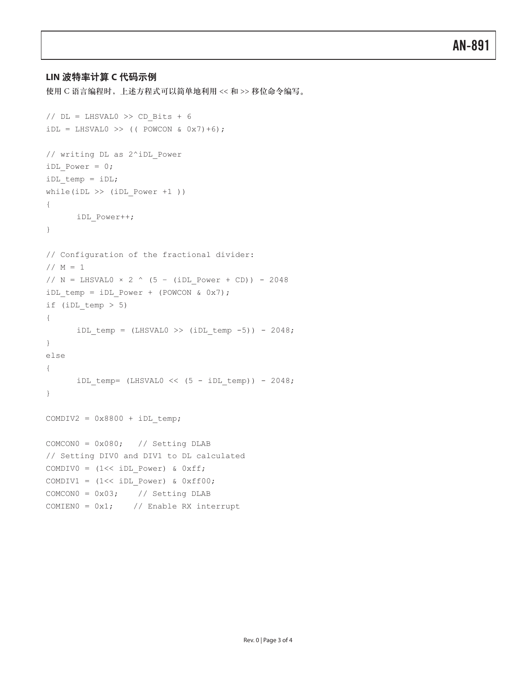### **LIN** 波特率计算 **C** 代码示例

使用 C 语言编程时,上述方程式可以简单地利用 << 和 >> 移位命令编写。

```
// DL = LHSVAL0 >> CD Bits + 6
iDL = LHSVAL0 >> (( POWCON & 0x7)+6);
// writing DL as 2^iDL_Power 
iDL_Power = 0; 
iDL temp = iDL;
while(iDL >> (iDL_Power +1 ))
{
      iDL_Power++; 
}
// Configuration of the fractional divider: 
// M = 1// N = LHSVAL0 \times 2 ^ (5 - (iDL Power + CD)) - 2048iDL temp = iDL Power + (POWCON & 0x7);
if (iDL_temp > 5) 
{
      iDL temp = (LHSVAL0 \gg (iDL \text{ temp } -5)) - 2048;}
else
{
      iDL temp= (LHSVAL0 \ll (5 - iDL \text{ temp})) - 2048;
}
COMDIV2 = 0x8800 + iDL temp;
COMCON0 = 0x080; // Setting DLAB 
// Setting DIV0 and DIV1 to DL calculated 
COMDIV0 = (1<< iDL Power) & 0xff;COMDIV1 = (1<< iDL Power) & 0xff00;COMCONO = 0x03; // Setting DLAB
COMIEN0 = 0x1; // Enable RX interrupt
```